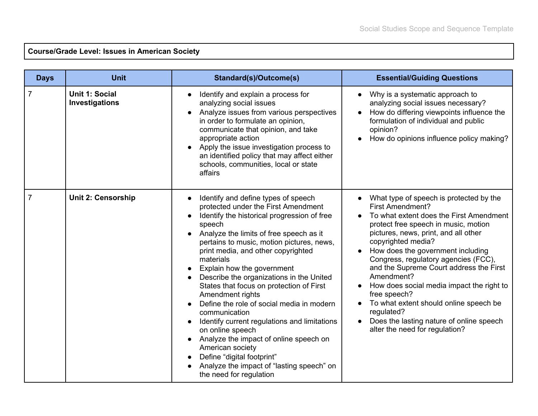## **Course/Grade Level: Issues in American Society**

| <b>Days</b>    | <b>Unit</b>                      | Standard(s)/Outcome(s)                                                                                                                                                                                                                                                                                                                                                                                                                                                                                                                                                                                                                                                                                                         | <b>Essential/Guiding Questions</b>                                                                                                                                                                                                                                                                                                                                                                                                                                                                                                                           |
|----------------|----------------------------------|--------------------------------------------------------------------------------------------------------------------------------------------------------------------------------------------------------------------------------------------------------------------------------------------------------------------------------------------------------------------------------------------------------------------------------------------------------------------------------------------------------------------------------------------------------------------------------------------------------------------------------------------------------------------------------------------------------------------------------|--------------------------------------------------------------------------------------------------------------------------------------------------------------------------------------------------------------------------------------------------------------------------------------------------------------------------------------------------------------------------------------------------------------------------------------------------------------------------------------------------------------------------------------------------------------|
| $\overline{7}$ | Unit 1: Social<br>Investigations | Identify and explain a process for<br>analyzing social issues<br>Analyze issues from various perspectives<br>in order to formulate an opinion,<br>communicate that opinion, and take<br>appropriate action<br>Apply the issue investigation process to<br>an identified policy that may affect either<br>schools, communities, local or state<br>affairs                                                                                                                                                                                                                                                                                                                                                                       | Why is a systematic approach to<br>analyzing social issues necessary?<br>How do differing viewpoints influence the<br>formulation of individual and public<br>opinion?<br>How do opinions influence policy making?                                                                                                                                                                                                                                                                                                                                           |
| $\overline{7}$ | <b>Unit 2: Censorship</b>        | Identify and define types of speech<br>protected under the First Amendment<br>Identify the historical progression of free<br>speech<br>Analyze the limits of free speech as it<br>pertains to music, motion pictures, news,<br>print media, and other copyrighted<br>materials<br>Explain how the government<br>Describe the organizations in the United<br>States that focus on protection of First<br>Amendment rights<br>Define the role of social media in modern<br>communication<br>Identify current regulations and limitations<br>on online speech<br>Analyze the impact of online speech on<br>American society<br>Define "digital footprint"<br>Analyze the impact of "lasting speech" on<br>the need for regulation | What type of speech is protected by the<br><b>First Amendment?</b><br>To what extent does the First Amendment<br>protect free speech in music, motion<br>pictures, news, print, and all other<br>copyrighted media?<br>How does the government including<br>Congress, regulatory agencies (FCC),<br>and the Supreme Court address the First<br>Amendment?<br>How does social media impact the right to<br>free speech?<br>To what extent should online speech be<br>regulated?<br>Does the lasting nature of online speech<br>alter the need for regulation? |